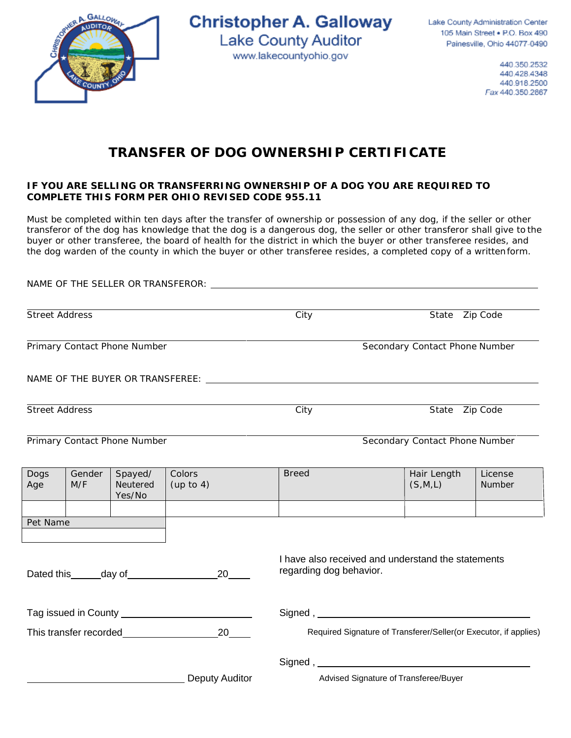

**Christopher A. Galloway Lake County Auditor** www.lakecountyohio.gov

Lake County Administration Center 105 Main Street . P.O. Box 490 Painesville, Ohio 44077-0490

> 440.350.2532 440.428.4348 440.918.2500 Fax 440.350.2867

## **TRANSFER OF DOG OWNERSHIP CERTIFICATE**

## **IF YOU ARE SELLING OR TRANSFERRING OWNERSHIP OF A DOG YOU ARE REQUIRED TO COMPLETE THIS FORM PER OHIO REVISED CODE 955.11**

Must be completed within ten days after the transfer of ownership or possession of any dog, if the seller or other transferor of the dog has knowledge that the dog is a dangerous dog, the seller or other transferor shall give to the buyer or other transferee, the board of health for the district in which the buyer or other transferee resides, and the dog warden of the county in which the buyer or other transferee resides, a completed copy of a writtenform.

|                                                            |               |                               | NAME OF THE SELLER OR TRANSFEROR: WE ARRIVE THE SELLER OR TRANSFEROR: |                                                                                                                                                                                                                                      |  |                                       |                   |  |
|------------------------------------------------------------|---------------|-------------------------------|-----------------------------------------------------------------------|--------------------------------------------------------------------------------------------------------------------------------------------------------------------------------------------------------------------------------------|--|---------------------------------------|-------------------|--|
| <b>Street Address</b>                                      |               |                               |                                                                       | $\overline{C}$ ity                                                                                                                                                                                                                   |  | State Zip Code                        |                   |  |
| Primary Contact Phone Number                               |               |                               |                                                                       | Secondary Contact Phone Number                                                                                                                                                                                                       |  |                                       |                   |  |
|                                                            |               |                               |                                                                       |                                                                                                                                                                                                                                      |  |                                       |                   |  |
| Street Address                                             |               |                               |                                                                       | $\overline{City}$                                                                                                                                                                                                                    |  | State Zip Code                        |                   |  |
| Primary Contact Phone Number                               |               |                               | Secondary Contact Phone Number                                        |                                                                                                                                                                                                                                      |  |                                       |                   |  |
| Dogs<br>Age                                                | Gender<br>M/F | Spayed/<br>Neutered<br>Yes/No | Colors<br>(up to 4)                                                   | <b>Breed</b>                                                                                                                                                                                                                         |  | Hair Length<br>(S,M,L)                | License<br>Number |  |
| Pet Name                                                   |               |                               |                                                                       |                                                                                                                                                                                                                                      |  |                                       |                   |  |
| Dated this ______ day of _________________<br>20           |               |                               |                                                                       | I have also received and understand the statements<br>regarding dog behavior.                                                                                                                                                        |  |                                       |                   |  |
|                                                            |               |                               |                                                                       | Signed, <u>example and the set of the set of the set of the set of the set of the set of the set of the set of the set of the set of the set of the set of the set of the set of the set of the set of the set of the set of the</u> |  |                                       |                   |  |
| This transfer recorded <b>This transfer recorded</b><br>20 |               |                               |                                                                       | Required Signature of Transferer/Seller(or Executor, if applies)                                                                                                                                                                     |  |                                       |                   |  |
|                                                            |               |                               | Deputy Auditor                                                        |                                                                                                                                                                                                                                      |  | Advised Signature of Transferee/Buyer |                   |  |